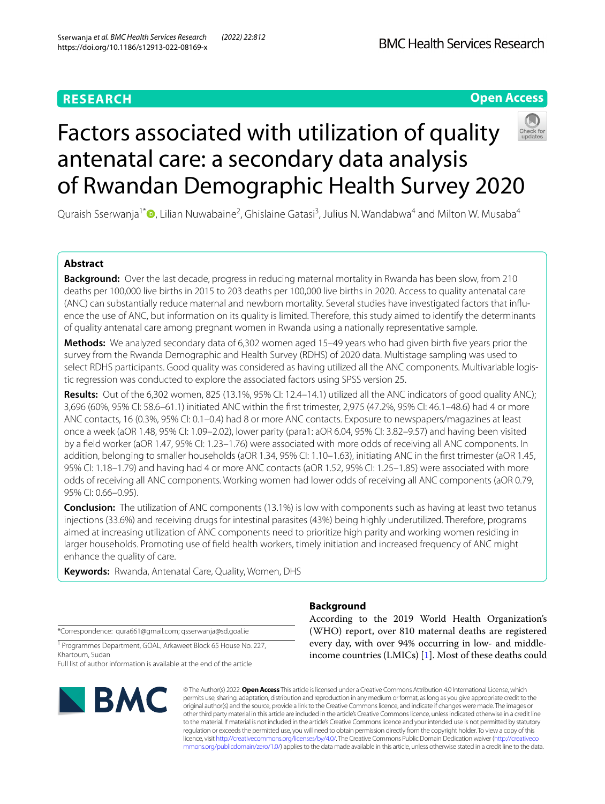# **RESEARCH**

# **Open Access**



# Factors associated with utilization of quality antenatal care: a secondary data analysis of Rwandan Demographic Health Survey 2020

Quraish Sserwanja<sup>1[\\*](http://orcid.org/0000-0003-0576-4627)</sup>®, Lilian Nuwabaine<sup>2</sup>, Ghislaine Gatasi<sup>3</sup>, Julius N. Wandabwa<sup>4</sup> and Milton W. Musaba<sup>4</sup>

## **Abstract**

**Background:** Over the last decade, progress in reducing maternal mortality in Rwanda has been slow, from 210 deaths per 100,000 live births in 2015 to 203 deaths per 100,000 live births in 2020. Access to quality antenatal care (ANC) can substantially reduce maternal and newborn mortality. Several studies have investigated factors that infuence the use of ANC, but information on its quality is limited. Therefore, this study aimed to identify the determinants of quality antenatal care among pregnant women in Rwanda using a nationally representative sample.

**Methods:** We analyzed secondary data of 6,302 women aged 15–49 years who had given birth fve years prior the survey from the Rwanda Demographic and Health Survey (RDHS) of 2020 data. Multistage sampling was used to select RDHS participants. Good quality was considered as having utilized all the ANC components. Multivariable logistic regression was conducted to explore the associated factors using SPSS version 25.

**Results:** Out of the 6,302 women, 825 (13.1%, 95% CI: 12.4–14.1) utilized all the ANC indicators of good quality ANC); 3,696 (60%, 95% CI: 58.6–61.1) initiated ANC within the frst trimester, 2,975 (47.2%, 95% CI: 46.1–48.6) had 4 or more ANC contacts, 16 (0.3%, 95% CI: 0.1–0.4) had 8 or more ANC contacts. Exposure to newspapers/magazines at least once a week (aOR 1.48, 95% CI: 1.09–2.02), lower parity (para1: aOR 6.04, 95% CI: 3.82–9.57) and having been visited by a feld worker (aOR 1.47, 95% CI: 1.23–1.76) were associated with more odds of receiving all ANC components. In addition, belonging to smaller households (aOR 1.34, 95% CI: 1.10–1.63), initiating ANC in the first trimester (aOR 1.45, 95% CI: 1.18–1.79) and having had 4 or more ANC contacts (aOR 1.52, 95% CI: 1.25–1.85) were associated with more odds of receiving all ANC components. Working women had lower odds of receiving all ANC components (aOR 0.79, 95% CI: 0.66–0.95).

**Conclusion:** The utilization of ANC components (13.1%) is low with components such as having at least two tetanus injections (33.6%) and receiving drugs for intestinal parasites (43%) being highly underutilized. Therefore, programs aimed at increasing utilization of ANC components need to prioritize high parity and working women residing in larger households. Promoting use of feld health workers, timely initiation and increased frequency of ANC might enhance the quality of care.

**Keywords:** Rwanda, Antenatal Care, Quality, Women, DHS

\*Correspondence: qura661@gmail.com; qsserwanja@sd.goal.ie

<sup>1</sup> Programmes Department, GOAL, Arkaweet Block 65 House No. 227, Khartoum, Sudan

Full list of author information is available at the end of the article



# **Background**

According to the 2019 World Health Organization's (WHO) report, over 810 maternal deaths are registered every day, with over 94% occurring in low- and middleincome countries (LMICs) [[1\]](#page-8-0). Most of these deaths could

© The Author(s) 2022. **Open Access** This article is licensed under a Creative Commons Attribution 4.0 International License, which permits use, sharing, adaptation, distribution and reproduction in any medium or format, as long as you give appropriate credit to the original author(s) and the source, provide a link to the Creative Commons licence, and indicate if changes were made. The images or other third party material in this article are included in the article's Creative Commons licence, unless indicated otherwise in a credit line to the material. If material is not included in the article's Creative Commons licence and your intended use is not permitted by statutory regulation or exceeds the permitted use, you will need to obtain permission directly from the copyright holder. To view a copy of this licence, visit [http://creativecommons.org/licenses/by/4.0/.](http://creativecommons.org/licenses/by/4.0/) The Creative Commons Public Domain Dedication waiver ([http://creativeco](http://creativecommons.org/publicdomain/zero/1.0/) [mmons.org/publicdomain/zero/1.0/](http://creativecommons.org/publicdomain/zero/1.0/)) applies to the data made available in this article, unless otherwise stated in a credit line to the data.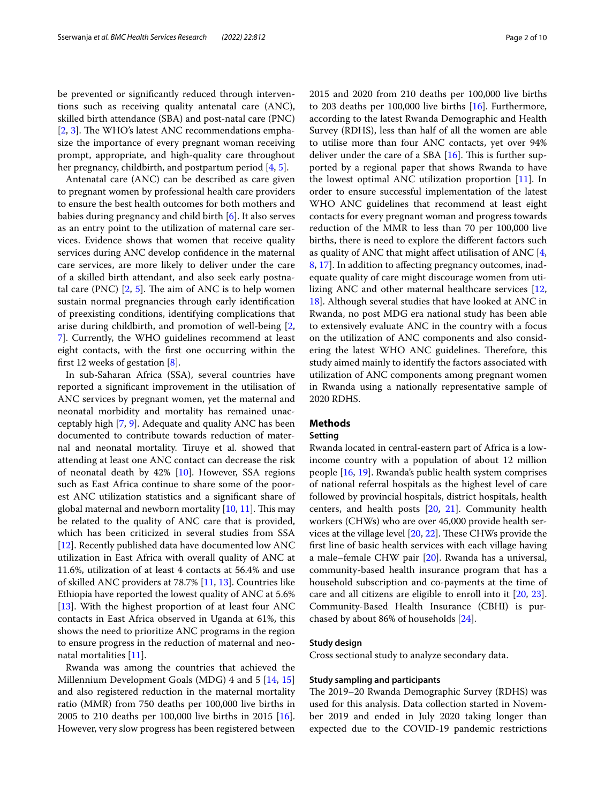be prevented or signifcantly reduced through interventions such as receiving quality antenatal care (ANC), skilled birth attendance (SBA) and post-natal care (PNC) [ $2, 3$  $2, 3$ ]. The WHO's latest ANC recommendations emphasize the importance of every pregnant woman receiving prompt, appropriate, and high-quality care throughout her pregnancy, childbirth, and postpartum period [[4,](#page-8-3) [5](#page-8-4)].

Antenatal care (ANC) can be described as care given to pregnant women by professional health care providers to ensure the best health outcomes for both mothers and babies during pregnancy and child birth [\[6](#page-8-5)]. It also serves as an entry point to the utilization of maternal care services. Evidence shows that women that receive quality services during ANC develop confdence in the maternal care services, are more likely to deliver under the care of a skilled birth attendant, and also seek early postnatal care (PNC)  $[2, 5]$  $[2, 5]$  $[2, 5]$  $[2, 5]$  $[2, 5]$ . The aim of ANC is to help women sustain normal pregnancies through early identifcation of preexisting conditions, identifying complications that arise during childbirth, and promotion of well-being [\[2](#page-8-1), [7\]](#page-8-6). Currently, the WHO guidelines recommend at least eight contacts, with the frst one occurring within the frst 12 weeks of gestation [\[8](#page-8-7)].

In sub-Saharan Africa (SSA), several countries have reported a signifcant improvement in the utilisation of ANC services by pregnant women, yet the maternal and neonatal morbidity and mortality has remained unacceptably high [\[7](#page-8-6), [9](#page-8-8)]. Adequate and quality ANC has been documented to contribute towards reduction of maternal and neonatal mortality. Tiruye et al. showed that attending at least one ANC contact can decrease the risk of neonatal death by  $42\%$  [[10\]](#page-8-9). However, SSA regions such as East Africa continue to share some of the poorest ANC utilization statistics and a signifcant share of global maternal and newborn mortality  $[10, 11]$  $[10, 11]$  $[10, 11]$ . This may be related to the quality of ANC care that is provided, which has been criticized in several studies from SSA [[12\]](#page-8-11). Recently published data have documented low ANC utilization in East Africa with overall quality of ANC at 11.6%, utilization of at least 4 contacts at 56.4% and use of skilled ANC providers at 78.7% [[11,](#page-8-10) [13](#page-8-12)]. Countries like Ethiopia have reported the lowest quality of ANC at 5.6% [[13\]](#page-8-12). With the highest proportion of at least four ANC contacts in East Africa observed in Uganda at 61%, this shows the need to prioritize ANC programs in the region to ensure progress in the reduction of maternal and neonatal mortalities [\[11\]](#page-8-10).

Rwanda was among the countries that achieved the Millennium Development Goals (MDG) 4 and 5 [[14](#page-8-13), [15](#page-8-14)] and also registered reduction in the maternal mortality ratio (MMR) from 750 deaths per 100,000 live births in 2005 to 210 deaths per 100,000 live births in 2015 [\[16](#page-8-15)]. However, very slow progress has been registered between 2015 and 2020 from 210 deaths per 100,000 live births to 203 deaths per 100,000 live births [\[16\]](#page-8-15). Furthermore, according to the latest Rwanda Demographic and Health Survey (RDHS), less than half of all the women are able to utilise more than four ANC contacts, yet over 94% deliver under the care of a SBA  $[16]$  $[16]$ . This is further supported by a regional paper that shows Rwanda to have the lowest optimal ANC utilization proportion [[11](#page-8-10)]. In order to ensure successful implementation of the latest WHO ANC guidelines that recommend at least eight contacts for every pregnant woman and progress towards reduction of the MMR to less than 70 per 100,000 live births, there is need to explore the diferent factors such as quality of ANC that might affect utilisation of ANC  $[4, 4]$  $[4, 4]$ [8,](#page-8-7) [17](#page-8-16)]. In addition to afecting pregnancy outcomes, inadequate quality of care might discourage women from utilizing ANC and other maternal healthcare services [[12](#page-8-11), [18\]](#page-8-17). Although several studies that have looked at ANC in Rwanda, no post MDG era national study has been able to extensively evaluate ANC in the country with a focus on the utilization of ANC components and also considering the latest WHO ANC guidelines. Therefore, this study aimed mainly to identify the factors associated with utilization of ANC components among pregnant women in Rwanda using a nationally representative sample of 2020 RDHS.

#### **Methods**

#### **Setting**

Rwanda located in central-eastern part of Africa is a lowincome country with a population of about 12 million people [[16,](#page-8-15) [19](#page-8-18)]. Rwanda's public health system comprises of national referral hospitals as the highest level of care followed by provincial hospitals, district hospitals, health centers, and health posts [[20](#page-8-19), [21](#page-8-20)]. Community health workers (CHWs) who are over 45,000 provide health services at the village level  $[20, 22]$  $[20, 22]$  $[20, 22]$ . These CHWs provide the frst line of basic health services with each village having a male–female CHW pair [[20](#page-8-19)]. Rwanda has a universal, community-based health insurance program that has a household subscription and co-payments at the time of care and all citizens are eligible to enroll into it [\[20,](#page-8-19) [23](#page-8-22)]. Community-Based Health Insurance (CBHI) is purchased by about 86% of households [\[24\]](#page-8-23).

#### **Study design**

Cross sectional study to analyze secondary data.

#### **Study sampling and participants**

The 2019–20 Rwanda Demographic Survey (RDHS) was used for this analysis. Data collection started in November 2019 and ended in July 2020 taking longer than expected due to the COVID-19 pandemic restrictions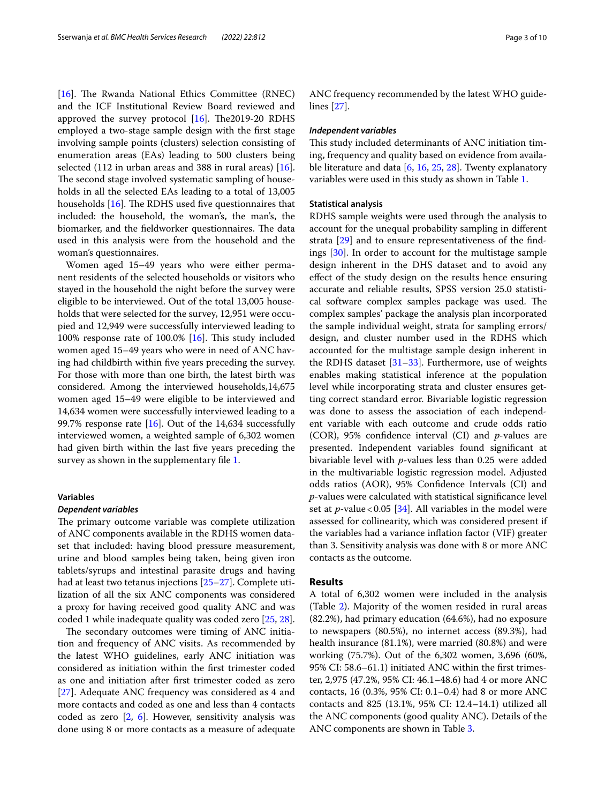[[16\]](#page-8-15). The Rwanda National Ethics Committee (RNEC) and the ICF Institutional Review Board reviewed and approved the survey protocol  $[16]$  $[16]$ . The 2019-20 RDHS employed a two-stage sample design with the frst stage involving sample points (clusters) selection consisting of enumeration areas (EAs) leading to 500 clusters being selected (112 in urban areas and 388 in rural areas) [\[16](#page-8-15)]. The second stage involved systematic sampling of households in all the selected EAs leading to a total of 13,005 households  $[16]$  $[16]$ . The RDHS used five questionnaires that included: the household, the woman's, the man's, the biomarker, and the fieldworker questionnaires. The data used in this analysis were from the household and the woman's questionnaires.

Women aged 15–49 years who were either permanent residents of the selected households or visitors who stayed in the household the night before the survey were eligible to be interviewed. Out of the total 13,005 households that were selected for the survey, 12,951 were occupied and 12,949 were successfully interviewed leading to 100% response rate of 100.0% [\[16\]](#page-8-15). This study included women aged 15–49 years who were in need of ANC having had childbirth within fve years preceding the survey. For those with more than one birth, the latest birth was considered. Among the interviewed households,14,675 women aged 15–49 were eligible to be interviewed and 14,634 women were successfully interviewed leading to a 99.7% response rate  $[16]$  $[16]$ . Out of the 14,634 successfully interviewed women, a weighted sample of 6,302 women had given birth within the last fve years preceding the survey as shown in the supplementary file [1](#page-7-0).

#### **Variables**

#### *Dependent variables*

The primary outcome variable was complete utilization of ANC components available in the RDHS women dataset that included: having blood pressure measurement, urine and blood samples being taken, being given iron tablets/syrups and intestinal parasite drugs and having had at least two tetanus injections [\[25](#page-8-24)–[27\]](#page-8-25). Complete utilization of all the six ANC components was considered a proxy for having received good quality ANC and was coded 1 while inadequate quality was coded zero [[25,](#page-8-24) [28](#page-8-26)].

The secondary outcomes were timing of ANC initiation and frequency of ANC visits. As recommended by the latest WHO guidelines, early ANC initiation was considered as initiation within the frst trimester coded as one and initiation after frst trimester coded as zero [[27\]](#page-8-25). Adequate ANC frequency was considered as 4 and more contacts and coded as one and less than 4 contacts coded as zero [\[2,](#page-8-1) [6\]](#page-8-5). However, sensitivity analysis was done using 8 or more contacts as a measure of adequate ANC frequency recommended by the latest WHO guidelines [\[27](#page-8-25)].

#### *Independent variables*

This study included determinants of ANC initiation timing, frequency and quality based on evidence from available literature and data [[6,](#page-8-5) [16](#page-8-15), [25,](#page-8-24) [28\]](#page-8-26). Twenty explanatory variables were used in this study as shown in Table [1](#page-3-0).

#### **Statistical analysis**

RDHS sample weights were used through the analysis to account for the unequal probability sampling in diferent strata [\[29](#page-9-0)] and to ensure representativeness of the fndings [\[30\]](#page-9-1). In order to account for the multistage sample design inherent in the DHS dataset and to avoid any efect of the study design on the results hence ensuring accurate and reliable results, SPSS version 25.0 statistical software complex samples package was used. The complex samples' package the analysis plan incorporated the sample individual weight, strata for sampling errors/ design, and cluster number used in the RDHS which accounted for the multistage sample design inherent in the RDHS dataset [\[31](#page-9-2)[–33\]](#page-9-3). Furthermore, use of weights enables making statistical inference at the population level while incorporating strata and cluster ensures getting correct standard error. Bivariable logistic regression was done to assess the association of each independent variable with each outcome and crude odds ratio (COR), 95% confdence interval (CI) and *p*-values are presented. Independent variables found signifcant at bivariable level with *p*-values less than 0.25 were added in the multivariable logistic regression model. Adjusted odds ratios (AOR), 95% Confdence Intervals (CI) and *p*-values were calculated with statistical signifcance level set at  $p$ -value < 0.05 [\[34\]](#page-9-4). All variables in the model were assessed for collinearity, which was considered present if the variables had a variance infation factor (VIF) greater than 3. Sensitivity analysis was done with 8 or more ANC contacts as the outcome.

#### **Results**

A total of 6,302 women were included in the analysis (Table [2\)](#page-4-0). Majority of the women resided in rural areas (82.2%), had primary education (64.6%), had no exposure to newspapers (80.5%), no internet access (89.3%), had health insurance (81.1%), were married (80.8%) and were working (75.7%). Out of the 6,302 women, 3,696 (60%, 95% CI: 58.6–61.1) initiated ANC within the frst trimester, 2,975 (47.2%, 95% CI: 46.1–48.6) had 4 or more ANC contacts, 16 (0.3%, 95% CI: 0.1–0.4) had 8 or more ANC contacts and 825 (13.1%, 95% CI: 12.4–14.1) utilized all the ANC components (good quality ANC). Details of the ANC components are shown in Table [3](#page-4-1).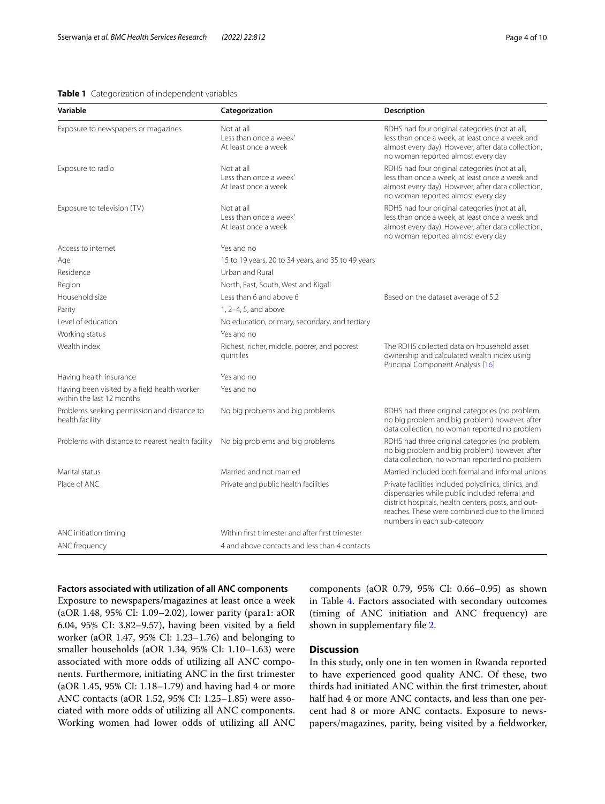#### <span id="page-3-0"></span>**Table 1** Categorization of independent variables

| Variable                                                                  | Categorization                                               | <b>Description</b>                                                                                                                                                                                                                                 |
|---------------------------------------------------------------------------|--------------------------------------------------------------|----------------------------------------------------------------------------------------------------------------------------------------------------------------------------------------------------------------------------------------------------|
| Exposure to newspapers or magazines                                       | Not at all<br>Less than once a week'<br>At least once a week | RDHS had four original categories (not at all,<br>less than once a week, at least once a week and<br>almost every day). However, after data collection,<br>no woman reported almost every day                                                      |
| Exposure to radio                                                         | Not at all<br>Less than once a week'<br>At least once a week | RDHS had four original categories (not at all,<br>less than once a week, at least once a week and<br>almost every day). However, after data collection,<br>no woman reported almost every day                                                      |
| Exposure to television (TV)                                               | Not at all<br>Less than once a week'<br>At least once a week | RDHS had four original categories (not at all,<br>less than once a week, at least once a week and<br>almost every day). However, after data collection,<br>no woman reported almost every day                                                      |
| Access to internet                                                        | Yes and no                                                   |                                                                                                                                                                                                                                                    |
| Age                                                                       | 15 to 19 years, 20 to 34 years, and 35 to 49 years           |                                                                                                                                                                                                                                                    |
| Residence                                                                 | Urban and Rural                                              |                                                                                                                                                                                                                                                    |
| Region                                                                    | North, East, South, West and Kigali                          |                                                                                                                                                                                                                                                    |
| Household size                                                            | Less than 6 and above 6                                      | Based on the dataset average of 5.2                                                                                                                                                                                                                |
| Parity                                                                    | 1, 2-4, 5, and above                                         |                                                                                                                                                                                                                                                    |
| Level of education                                                        | No education, primary, secondary, and tertiary               |                                                                                                                                                                                                                                                    |
| Working status                                                            | Yes and no                                                   |                                                                                                                                                                                                                                                    |
| Wealth index                                                              | Richest, richer, middle, poorer, and poorest<br>quintiles    | The RDHS collected data on household asset<br>ownership and calculated wealth index using<br>Principal Component Analysis [16]                                                                                                                     |
| Having health insurance                                                   | Yes and no                                                   |                                                                                                                                                                                                                                                    |
| Having been visited by a field health worker<br>within the last 12 months | Yes and no                                                   |                                                                                                                                                                                                                                                    |
| Problems seeking permission and distance to<br>health facility            | No big problems and big problems                             | RDHS had three original categories (no problem,<br>no big problem and big problem) however, after<br>data collection, no woman reported no problem                                                                                                 |
| Problems with distance to nearest health facility                         | No big problems and big problems                             | RDHS had three original categories (no problem,<br>no big problem and big problem) however, after<br>data collection, no woman reported no problem                                                                                                 |
| Marital status                                                            | Married and not married                                      | Married included both formal and informal unions                                                                                                                                                                                                   |
| Place of ANC                                                              | Private and public health facilities                         | Private facilities included polyclinics, clinics, and<br>dispensaries while public included referral and<br>district hospitals, health centers, posts, and out-<br>reaches. These were combined due to the limited<br>numbers in each sub-category |
| ANC initiation timing                                                     | Within first trimester and after first trimester             |                                                                                                                                                                                                                                                    |
| ANC frequency                                                             | 4 and above contacts and less than 4 contacts                |                                                                                                                                                                                                                                                    |

#### **Factors associated with utilization of all ANC components**

Exposure to newspapers/magazines at least once a week (aOR 1.48, 95% CI: 1.09–2.02), lower parity (para1: aOR 6.04, 95% CI: 3.82–9.57), having been visited by a feld worker (aOR 1.47, 95% CI: 1.23–1.76) and belonging to smaller households (aOR 1.34, 95% CI: 1.10–1.63) were associated with more odds of utilizing all ANC components. Furthermore, initiating ANC in the frst trimester (aOR 1.45, 95% CI: 1.18–1.79) and having had 4 or more ANC contacts (aOR 1.52, 95% CI: 1.25–1.85) were associated with more odds of utilizing all ANC components. Working women had lower odds of utilizing all ANC components (aOR 0.79, 95% CI: 0.66–0.95) as shown in Table [4.](#page-5-0) Factors associated with secondary outcomes (timing of ANC initiation and ANC frequency) are shown in supplementary fle [2](#page-7-1).

### **Discussion**

In this study, only one in ten women in Rwanda reported to have experienced good quality ANC. Of these, two thirds had initiated ANC within the frst trimester, about half had 4 or more ANC contacts, and less than one percent had 8 or more ANC contacts. Exposure to newspapers/magazines, parity, being visited by a feldworker,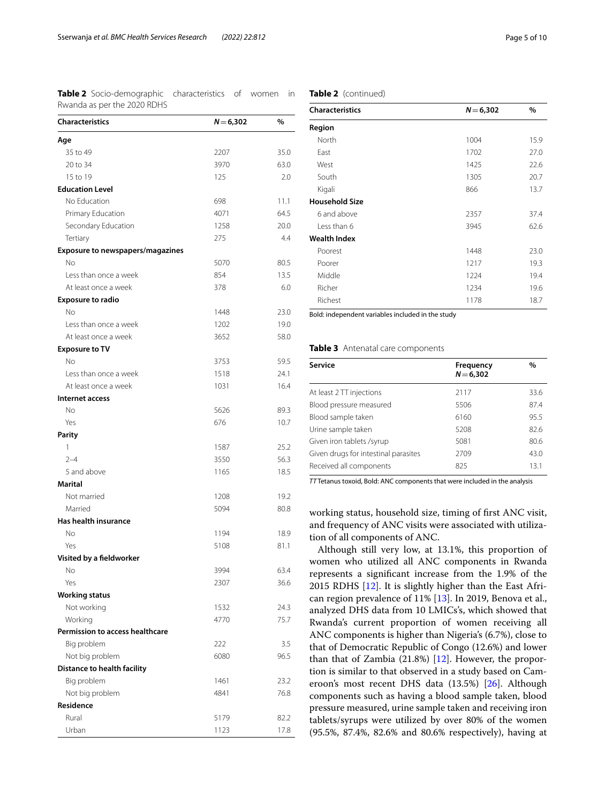<span id="page-4-0"></span>**Table 2** Socio-demographic characteristics of women in Rwanda as per the 2020 RDHS

| <b>Characteristics</b>                 | $N = 6,302$ | $\%$ |
|----------------------------------------|-------------|------|
| Age                                    |             |      |
| 35 to 49                               | 2207        | 35.0 |
| 20 to 34                               | 3970        | 63.0 |
| 15 to 19                               | 125         | 2.0  |
| <b>Education Level</b>                 |             |      |
| No Education                           | 698         | 11.1 |
| Primary Education                      | 4071        | 64.5 |
| Secondary Education                    | 1258        | 20.0 |
| Tertiary                               | 275         | 4.4  |
| Exposure to newspapers/magazines       |             |      |
| No.                                    | 5070        | 80.5 |
| Less than once a week                  | 854         | 13.5 |
| At least once a week                   | 378         | 6.0  |
| <b>Exposure to radio</b>               |             |      |
| N <sub>o</sub>                         | 1448        | 23.0 |
| Less than once a week                  | 1202        | 19.0 |
| At least once a week                   | 3652        | 58.0 |
| <b>Exposure to TV</b>                  |             |      |
| No                                     | 3753        | 59.5 |
| Less than once a week                  | 1518        | 24.1 |
| At least once a week                   | 1031        | 16.4 |
| Internet access                        |             |      |
| No                                     | 5626        | 89.3 |
| Yes                                    | 676         | 10.7 |
| <b>Parity</b>                          |             |      |
| 1                                      | 1587        | 25.2 |
| $2 - 4$                                | 3550        | 56.3 |
| 5 and above                            | 1165        | 18.5 |
| Marital                                |             |      |
| Not married                            | 1208        | 19.2 |
| Married                                | 5094        | 80.8 |
| <b>Has health insurance</b>            |             |      |
| No                                     | 1194        | 18.9 |
| Yes                                    | 5108        | 81.1 |
| Visited by a fieldworker               |             |      |
| No                                     | 3994        | 63.4 |
| Yes                                    | 2307        | 36.6 |
| <b>Working status</b>                  |             |      |
| Not working                            | 1532        | 24.3 |
| Working                                | 4770        | 75.7 |
| <b>Permission to access healthcare</b> |             |      |
| Big problem                            | 222         | 3.5  |
| Not big problem                        | 6080        | 96.5 |
| Distance to health facility            |             |      |
| Big problem                            | 1461        | 23.2 |
| Not big problem                        | 4841        | 76.8 |
| Residence                              |             |      |
| Rural                                  | 5179        | 82.2 |
| Urban                                  | 1123        | 17.8 |

| <b>Characteristics</b> | $N = 6,302$ | $\%$ |  |
|------------------------|-------------|------|--|
| Region                 |             |      |  |
| North                  | 1004        | 15.9 |  |
| East                   | 1702        | 27.0 |  |
| West                   | 1425        | 22.6 |  |
| South                  | 1305        | 20.7 |  |
| Kigali                 | 866         | 13.7 |  |
| <b>Household Size</b>  |             |      |  |
| 6 and above            | 2357        | 37.4 |  |
| Less than 6            | 3945        | 62.6 |  |
| <b>Wealth Index</b>    |             |      |  |
| Poorest                | 1448        | 23.0 |  |
| Poorer                 | 1217        | 19.3 |  |
| Middle                 | 1224        | 19.4 |  |
| Richer                 | 1234        | 19.6 |  |
| Richest                | 1178        | 18.7 |  |

Bold: independent variables included in the study

#### <span id="page-4-1"></span>**Table 3** Antenatal care components

| Service                              | Frequency<br>$N = 6,302$ | $\%$ |
|--------------------------------------|--------------------------|------|
| At least 2 TT injections             | 2117                     | 33.6 |
| Blood pressure measured              | 5506                     | 87.4 |
| Blood sample taken                   | 6160                     | 95.5 |
| Urine sample taken                   | 5208                     | 82.6 |
| Given iron tablets /syrup            | 5081                     | 80.6 |
| Given drugs for intestinal parasites | 2709                     | 43.0 |
| Received all components              | 825                      | 13.1 |

*TT* Tetanus toxoid, Bold: ANC components that were included in the analysis

working status, household size, timing of frst ANC visit, and frequency of ANC visits were associated with utilization of all components of ANC.

Although still very low, at 13.1%, this proportion of women who utilized all ANC components in Rwanda represents a signifcant increase from the 1.9% of the 2015 RDHS [\[12\]](#page-8-11). It is slightly higher than the East African region prevalence of 11% [\[13](#page-8-12)]. In 2019, Benova et al., analyzed DHS data from 10 LMICs's, which showed that Rwanda's current proportion of women receiving all ANC components is higher than Nigeria's (6.7%), close to that of Democratic Republic of Congo (12.6%) and lower than that of Zambia (21.8%) [[12\]](#page-8-11). However, the proportion is similar to that observed in a study based on Cameroon's most recent DHS data (13.5%) [[26\]](#page-8-27). Although components such as having a blood sample taken, blood pressure measured, urine sample taken and receiving iron tablets/syrups were utilized by over 80% of the women (95.5%, 87.4%, 82.6% and 80.6% respectively), having at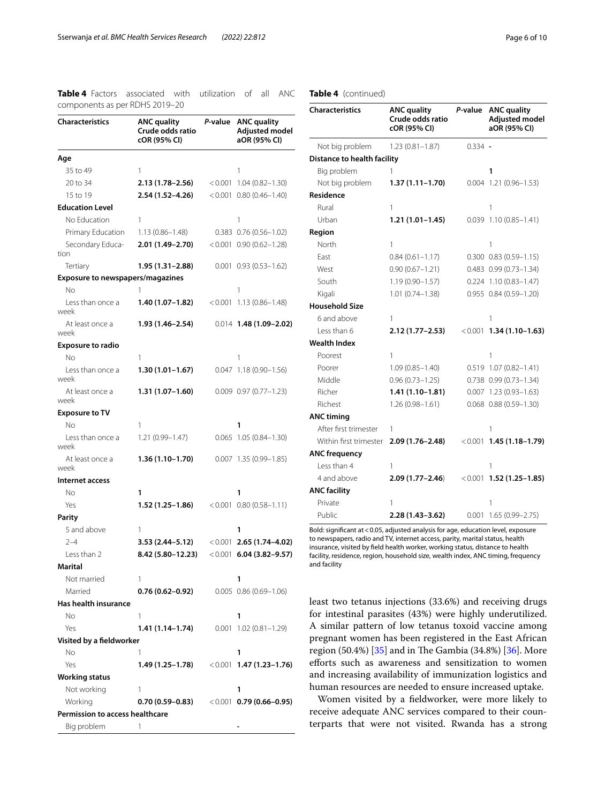<span id="page-5-0"></span>**Table 4** Factors associated with utilization of all ANC components as per RDHS 2019–20

| $\frac{1}{2}$<br>Characteristics        | <b>ANC quality</b><br>Crude odds ratio | P-value | <b>ANC quality</b><br>Adjusted model |
|-----------------------------------------|----------------------------------------|---------|--------------------------------------|
|                                         | cOR (95% CI)                           |         | aOR (95% CI)                         |
| Age                                     |                                        |         |                                      |
| 35 to 49                                | 1                                      |         | 1                                    |
| 20 to 34                                | 2.13 (1.78–2.56)                       | < 0.001 | 1.04 (0.82-1.30)                     |
| 15 to 19                                | 2.54 (1.52–4.26)                       |         | $< 0.001$ 0.80 (0.46-1.40)           |
| <b>Education Level</b>                  |                                        |         |                                      |
| No Education                            | 1                                      |         | 1                                    |
| Primary Education                       | $1.13(0.86 - 1.48)$                    |         | $0.383$ $0.76$ $(0.56-1.02)$         |
| Secondary Educa-                        | 2.01 (1.49–2.70)                       |         | $< 0.001$ 0.90 (0.62-1.28)           |
| tion                                    |                                        |         |                                      |
| Tertiary                                | 1.95 (1.31-2.88)                       |         | $0.001$ $0.93$ $(0.53-1.62)$         |
| <b>Exposure to newspapers/magazines</b> |                                        |         |                                      |
| Νo                                      | 1                                      |         | 1                                    |
| Less than once a<br>week                | 1.40 (1.07–1.82)                       | < 0.001 | $1.13(0.86 - 1.48)$                  |
| At least once a<br>week                 | 1.93 (1.46–2.54)                       |         | $0.014$ 1.48 (1.09-2.02)             |
| <b>Exposure to radio</b>                |                                        |         |                                      |
| No                                      | 1                                      |         | 1                                    |
| Less than once a<br>week                | $1.30(1.01 - 1.67)$                    | 0.047   | $1.18(0.90 - 1.56)$                  |
| At least once a<br>week                 | 1.31 (1.07-1.60)                       |         | $0.009$ $0.97$ $(0.77 - 1.23)$       |
| <b>Exposure to TV</b>                   |                                        |         |                                      |
| No                                      | 1                                      |         | 1                                    |
| Less than once a<br>week                | $1.21(0.99 - 1.47)$                    |         | $0.065$ 1.05 $(0.84 - 1.30)$         |
| At least once a<br>week                 | $1.36(1.10-1.70)$                      |         | $0.007$ 1.35 $(0.99-1.85)$           |
| Internet access                         |                                        |         |                                      |
| Νo                                      | 1                                      |         | 1                                    |
| Yes                                     | 1.52 (1.25–1.86)                       |         | $< 0.001$ 0.80 (0.58-1.11)           |
| Parity                                  |                                        |         |                                      |
| 5 and above                             | 1                                      |         | 1                                    |
| $2 - 4$                                 | 3.53 (2.44–5.12)                       |         | $< 0.001$ 2.65 (1.74–4.02)           |
| Less than 2                             | 8.42 (5.80-12.23)                      |         | $< 0.001$ 6.04 (3.82-9.57)           |
| Marital                                 |                                        |         |                                      |
| Not married                             | 1                                      |         | 1                                    |
| Married                                 | $0.76(0.62 - 0.92)$                    |         | $0.005$ $0.86$ $(0.69-1.06)$         |
| Has health insurance                    |                                        |         |                                      |
| Νo                                      | 1                                      |         | 1                                    |
| Yes                                     | 1.41 (1.14–1.74)                       |         | $0.001$ 1.02 $(0.81 - 1.29)$         |
| Visited by a fieldworker                |                                        |         |                                      |
| Νo                                      | 1                                      |         | 1                                    |
| Yes                                     | 1.49 (1.25–1.78)                       |         | $<0.001$ 1.47 (1.23–1.76)            |
| <b>Working status</b>                   |                                        |         |                                      |
| Not working                             | 1                                      |         | 1                                    |
| Working                                 | 0.70 (0.59–0.83)                       |         | $(0.001$ 0.79 (0.66–0.95)            |
| Permission to access healthcare         |                                        |         |                                      |
| Big problem                             | 1                                      |         |                                      |

#### **Table 4** (continued)

| <b>Characteristics</b>      | <b>ANC quality</b><br>Crude odds ratio<br>cOR (95% CI) | P-value   | <b>ANC quality</b><br><b>Adjusted model</b><br>aOR (95% CI) |
|-----------------------------|--------------------------------------------------------|-----------|-------------------------------------------------------------|
| Not big problem             | $1.23(0.81 - 1.87)$                                    | $0.334 -$ |                                                             |
| Distance to health facility |                                                        |           |                                                             |
| Big problem                 | 1                                                      |           | 1                                                           |
| Not big problem             | $1.37(1.11 - 1.70)$                                    |           | 0.004 1.21 (0.96-1.53)                                      |
| <b>Residence</b>            |                                                        |           |                                                             |
| Rural                       | 1                                                      |           | 1                                                           |
| Urban                       | $1.21(1.01 - 1.45)$                                    |           | $0.039$ 1.10 (0.85-1.41)                                    |
| Region                      |                                                        |           |                                                             |
| North                       | 1                                                      |           | 1                                                           |
| East                        | $0.84(0.61 - 1.17)$                                    |           | $0.300$ $0.83$ $(0.59 - 1.15)$                              |
| West                        | $0.90(0.67 - 1.21)$                                    |           | $0.483$ $0.99$ $(0.73 - 1.34)$                              |
| South                       | $1.19(0.90 - 1.57)$                                    |           | $0.224$ 1.10 (0.83-1.47)                                    |
| Kigali                      | $1.01(0.74 - 1.38)$                                    |           | $0.955$ $0.84$ $(0.59-1.20)$                                |
| <b>Household Size</b>       |                                                        |           |                                                             |
| 6 and above                 | 1                                                      |           | 1                                                           |
| Less than 6                 | $2.12(1.77 - 2.53)$                                    |           | $< 0.001$ 1.34 (1.10-1.63)                                  |
| <b>Wealth Index</b>         |                                                        |           |                                                             |
| Poorest                     | 1                                                      |           | 1                                                           |
| Poorer                      | $1.09(0.85 - 1.40)$                                    |           | $0.519$ 1.07 (0.82-1.41)                                    |
| Middle                      | $0.96(0.73 - 1.25)$                                    |           | $0.738$ $0.99$ $(0.73 - 1.34)$                              |
| Richer                      | $1.41(1.10-1.81)$                                      |           | $0.007$ 1.23 (0.93-1.63)                                    |
| Richest                     | $1.26(0.98 - 1.61)$                                    |           | $0.068$ $0.88$ $(0.59-1.30)$                                |
| <b>ANC timing</b>           |                                                        |           |                                                             |
| After first trimester       | 1                                                      |           | 1                                                           |
| Within first trimester      | 2.09 (1.76-2.48)                                       | < 0.001   | $1.45(1.18 - 1.79)$                                         |
| <b>ANC frequency</b>        |                                                        |           |                                                             |
| Less than 4                 | 1                                                      |           | 1                                                           |
| 4 and above                 | $2.09(1.77 - 2.46)$                                    | < 0.001   | $1.52(1.25 - 1.85)$                                         |
| <b>ANC facility</b>         |                                                        |           |                                                             |
| Private                     | 1                                                      |           | 1                                                           |
| Public                      | 2.28 (1.43-3.62)                                       | 0.001     | 1.65 (0.99-2.75)                                            |

Bold: signifcant at<0.05, adjusted analysis for age, education level, exposure to newspapers, radio and TV, internet access, parity, marital status, health insurance, visited by feld health worker, working status, distance to health facility, residence, region, household size, wealth index, ANC timing, frequency and facility

least two tetanus injections (33.6%) and receiving drugs for intestinal parasites (43%) were highly underutilized. A similar pattern of low tetanus toxoid vaccine among pregnant women has been registered in the East African region  $(50.4%)$  [[35](#page-9-5)] and in The Gambia  $(34.8%)$  [[36\]](#page-9-6). More efforts such as awareness and sensitization to women and increasing availability of immunization logistics and human resources are needed to ensure increased uptake.

Women visited by a feldworker, were more likely to receive adequate ANC services compared to their counterparts that were not visited. Rwanda has a strong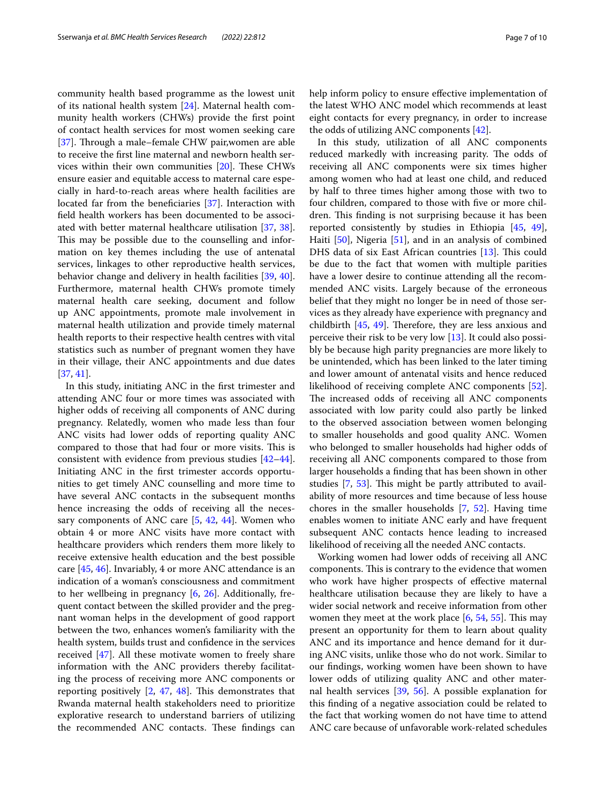community health based programme as the lowest unit of its national health system [\[24\]](#page-8-23). Maternal health community health workers (CHWs) provide the frst point of contact health services for most women seeking care [[37\]](#page-9-7). Through a male–female CHW pair, women are able to receive the frst line maternal and newborn health services within their own communities  $[20]$ . These CHWs ensure easier and equitable access to maternal care especially in hard-to-reach areas where health facilities are located far from the beneficiaries [\[37\]](#page-9-7). Interaction with feld health workers has been documented to be associated with better maternal healthcare utilisation [[37,](#page-9-7) [38](#page-9-8)]. This may be possible due to the counselling and information on key themes including the use of antenatal services, linkages to other reproductive health services, behavior change and delivery in health facilities [\[39](#page-9-9), [40](#page-9-10)]. Furthermore, maternal health CHWs promote timely maternal health care seeking, document and follow up ANC appointments, promote male involvement in maternal health utilization and provide timely maternal health reports to their respective health centres with vital statistics such as number of pregnant women they have in their village, their ANC appointments and due dates [[37,](#page-9-7) [41](#page-9-11)].

In this study, initiating ANC in the frst trimester and attending ANC four or more times was associated with higher odds of receiving all components of ANC during pregnancy. Relatedly, women who made less than four ANC visits had lower odds of reporting quality ANC compared to those that had four or more visits. This is consistent with evidence from previous studies [[42](#page-9-12)[–44](#page-9-13)]. Initiating ANC in the frst trimester accords opportunities to get timely ANC counselling and more time to have several ANC contacts in the subsequent months hence increasing the odds of receiving all the necessary components of ANC care [[5,](#page-8-4) [42](#page-9-12), [44\]](#page-9-13). Women who obtain 4 or more ANC visits have more contact with healthcare providers which renders them more likely to receive extensive health education and the best possible care [[45](#page-9-14), [46](#page-9-15)]. Invariably, 4 or more ANC attendance is an indication of a woman's consciousness and commitment to her wellbeing in pregnancy [\[6,](#page-8-5) [26\]](#page-8-27). Additionally, frequent contact between the skilled provider and the pregnant woman helps in the development of good rapport between the two, enhances women's familiarity with the health system, builds trust and confdence in the services received [[47](#page-9-16)]. All these motivate women to freely share information with the ANC providers thereby facilitating the process of receiving more ANC components or reporting positively  $[2, 47, 48]$  $[2, 47, 48]$  $[2, 47, 48]$  $[2, 47, 48]$  $[2, 47, 48]$  $[2, 47, 48]$  $[2, 47, 48]$ . This demonstrates that Rwanda maternal health stakeholders need to prioritize explorative research to understand barriers of utilizing the recommended ANC contacts. These findings can help inform policy to ensure efective implementation of the latest WHO ANC model which recommends at least eight contacts for every pregnancy, in order to increase the odds of utilizing ANC components [\[42](#page-9-12)].

In this study, utilization of all ANC components reduced markedly with increasing parity. The odds of receiving all ANC components were six times higher among women who had at least one child, and reduced by half to three times higher among those with two to four children, compared to those with fve or more children. This finding is not surprising because it has been reported consistently by studies in Ethiopia [[45,](#page-9-14) [49](#page-9-18)], Haiti [[50\]](#page-9-19), Nigeria [[51\]](#page-9-20), and in an analysis of combined DHS data of six East African countries  $[13]$ . This could be due to the fact that women with multiple parities have a lower desire to continue attending all the recommended ANC visits. Largely because of the erroneous belief that they might no longer be in need of those services as they already have experience with pregnancy and childbirth  $[45, 49]$  $[45, 49]$  $[45, 49]$ . Therefore, they are less anxious and perceive their risk to be very low [[13\]](#page-8-12). It could also possibly be because high parity pregnancies are more likely to be unintended, which has been linked to the later timing and lower amount of antenatal visits and hence reduced likelihood of receiving complete ANC components [\[52](#page-9-21)]. The increased odds of receiving all ANC components associated with low parity could also partly be linked to the observed association between women belonging to smaller households and good quality ANC. Women who belonged to smaller households had higher odds of receiving all ANC components compared to those from larger households a fnding that has been shown in other studies  $[7, 53]$  $[7, 53]$  $[7, 53]$ . This might be partly attributed to availability of more resources and time because of less house chores in the smaller households [[7,](#page-8-6) [52](#page-9-21)]. Having time enables women to initiate ANC early and have frequent subsequent ANC contacts hence leading to increased likelihood of receiving all the needed ANC contacts.

Working women had lower odds of receiving all ANC components. This is contrary to the evidence that women who work have higher prospects of efective maternal healthcare utilisation because they are likely to have a wider social network and receive information from other women they meet at the work place  $[6, 54, 55]$  $[6, 54, 55]$  $[6, 54, 55]$  $[6, 54, 55]$  $[6, 54, 55]$  $[6, 54, 55]$ . This may present an opportunity for them to learn about quality ANC and its importance and hence demand for it during ANC visits, unlike those who do not work. Similar to our fndings, working women have been shown to have lower odds of utilizing quality ANC and other maternal health services [[39,](#page-9-9) [56\]](#page-9-25). A possible explanation for this fnding of a negative association could be related to the fact that working women do not have time to attend ANC care because of unfavorable work-related schedules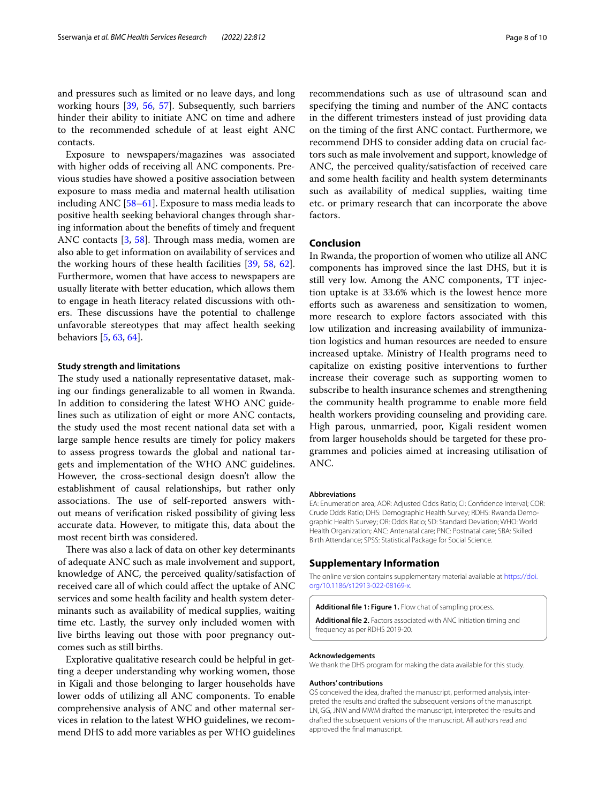and pressures such as limited or no leave days, and long working hours [[39](#page-9-9), [56](#page-9-25), [57](#page-9-26)]. Subsequently, such barriers hinder their ability to initiate ANC on time and adhere to the recommended schedule of at least eight ANC contacts.

Exposure to newspapers/magazines was associated with higher odds of receiving all ANC components. Previous studies have showed a positive association between exposure to mass media and maternal health utilisation including ANC [\[58](#page-9-27)[–61\]](#page-9-28). Exposure to mass media leads to positive health seeking behavioral changes through sharing information about the benefts of timely and frequent ANC contacts [\[3](#page-8-2), [58](#page-9-27)]. Through mass media, women are also able to get information on availability of services and the working hours of these health facilities [[39,](#page-9-9) [58](#page-9-27), [62](#page-9-29)]. Furthermore, women that have access to newspapers are usually literate with better education, which allows them to engage in heath literacy related discussions with others. These discussions have the potential to challenge unfavorable stereotypes that may afect health seeking behaviors [[5](#page-8-4), [63,](#page-9-30) [64](#page-9-31)].

#### **Study strength and limitations**

The study used a nationally representative dataset, making our fndings generalizable to all women in Rwanda. In addition to considering the latest WHO ANC guidelines such as utilization of eight or more ANC contacts, the study used the most recent national data set with a large sample hence results are timely for policy makers to assess progress towards the global and national targets and implementation of the WHO ANC guidelines. However, the cross-sectional design doesn't allow the establishment of causal relationships, but rather only associations. The use of self-reported answers without means of verifcation risked possibility of giving less accurate data. However, to mitigate this, data about the most recent birth was considered.

There was also a lack of data on other key determinants of adequate ANC such as male involvement and support, knowledge of ANC, the perceived quality/satisfaction of received care all of which could afect the uptake of ANC services and some health facility and health system determinants such as availability of medical supplies, waiting time etc. Lastly, the survey only included women with live births leaving out those with poor pregnancy outcomes such as still births.

Explorative qualitative research could be helpful in getting a deeper understanding why working women, those in Kigali and those belonging to larger households have lower odds of utilizing all ANC components. To enable comprehensive analysis of ANC and other maternal services in relation to the latest WHO guidelines, we recommend DHS to add more variables as per WHO guidelines

recommendations such as use of ultrasound scan and specifying the timing and number of the ANC contacts in the diferent trimesters instead of just providing data on the timing of the frst ANC contact. Furthermore, we recommend DHS to consider adding data on crucial factors such as male involvement and support, knowledge of ANC, the perceived quality/satisfaction of received care and some health facility and health system determinants such as availability of medical supplies, waiting time etc. or primary research that can incorporate the above factors.

#### **Conclusion**

In Rwanda, the proportion of women who utilize all ANC components has improved since the last DHS, but it is still very low. Among the ANC components, TT injection uptake is at 33.6% which is the lowest hence more eforts such as awareness and sensitization to women, more research to explore factors associated with this low utilization and increasing availability of immunization logistics and human resources are needed to ensure increased uptake. Ministry of Health programs need to capitalize on existing positive interventions to further increase their coverage such as supporting women to subscribe to health insurance schemes and strengthening the community health programme to enable more feld health workers providing counseling and providing care. High parous, unmarried, poor, Kigali resident women from larger households should be targeted for these programmes and policies aimed at increasing utilisation of ANC.

#### **Abbreviations**

EA: Enumeration area; AOR: Adjusted Odds Ratio; CI: Confdence Interval; COR: Crude Odds Ratio; DHS: Demographic Health Survey; RDHS: Rwanda Demographic Health Survey; OR: Odds Ratio; SD: Standard Deviation; WHO: World Health Organization; ANC: Antenatal care; PNC: Postnatal care; SBA: Skilled Birth Attendance; SPSS: Statistical Package for Social Science.

#### **Supplementary Information**

The online version contains supplementary material available at [https://doi.](https://doi.org/10.1186/s12913-022-08169-x) [org/10.1186/s12913-022-08169-x.](https://doi.org/10.1186/s12913-022-08169-x)

<span id="page-7-1"></span><span id="page-7-0"></span>**Additional fle 1: Figure 1.** Flow chat of sampling process.

**Additional fle 2.** Factors associated with ANC initiation timing and frequency as per RDHS 2019-20.

#### **Acknowledgements**

We thank the DHS program for making the data available for this study.

#### **Authors' contributions**

QS conceived the idea, drafted the manuscript, performed analysis, interpreted the results and drafted the subsequent versions of the manuscript. LN, GG, JNW and MWM drafted the manuscript, interpreted the results and drafted the subsequent versions of the manuscript. All authors read and approved the fnal manuscript.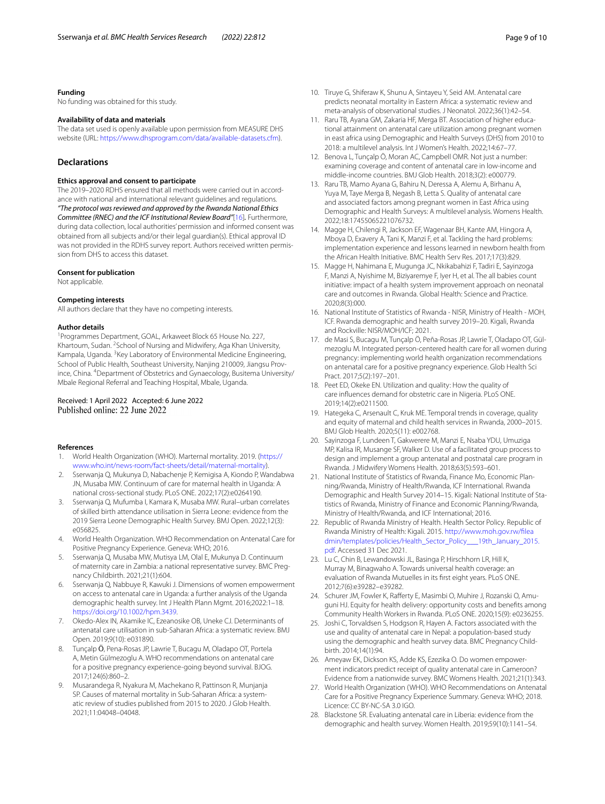#### **Funding**

No funding was obtained for this study.

#### **Availability of data and materials**

The data set used is openly available upon permission from MEASURE DHS website (URL: <https://www.dhsprogram.com/data/available-datasets.cfm>).

#### **Declarations**

#### **Ethics approval and consent to participate**

The 2019–2020 RDHS ensured that all methods were carried out in accordance with national and international relevant guidelines and regulations. *"The protocol was reviewed and approved by the Rwanda National Ethics Committee (RNEC) and the ICF Institutional Review Board"*[[16\]](#page-8-15)*.* Furthermore, during data collection, local authorities' permission and informed consent was obtained from all subjects and/or their legal guardian(s). Ethical approval ID was not provided in the RDHS survey report. Authors received written permission from DHS to access this dataset.

#### **Consent for publication**

Not applicable.

#### **Competing interests**

All authors declare that they have no competing interests.

#### **Author details**

<sup>1</sup> Programmes Department, GOAL, Arkaweet Block 65 House No. 227, Khartoum, Sudan. <sup>2</sup> School of Nursing and Midwifery, Aga Khan University, Kampala, Uganda. <sup>3</sup> Key Laboratory of Environmental Medicine Engineering, School of Public Health, Southeast University, Nanjing 210009, Jiangsu Province, China. 4 Department of Obstetrics and Gynaecology, Busitema University/ Mbale Regional Referral and Teaching Hospital, Mbale, Uganda.

# Received: 1 April 2022 Accepted: 6 June 2022<br>Published online: 22 June 2022

#### **References**

- <span id="page-8-0"></span>1. World Health Organization (WHO). Marternal mortality. 2019. [\(https://](https://www.who.int/news-room/fact-sheets/detail/maternal-mortality) [www.who.int/news-room/fact-sheets/detail/maternal-mortality\)](https://www.who.int/news-room/fact-sheets/detail/maternal-mortality).
- <span id="page-8-1"></span>2. Sserwanja Q, Mukunya D, Nabachenje P, Kemigisa A, Kiondo P, Wandabwa JN, Musaba MW. Continuum of care for maternal health in Uganda: A national cross-sectional study. PLoS ONE. 2022;17(2):e0264190.
- <span id="page-8-2"></span>3. Sserwanja Q, Mufumba I, Kamara K, Musaba MW. Rural–urban correlates of skilled birth attendance utilisation in Sierra Leone: evidence from the 2019 Sierra Leone Demographic Health Survey. BMJ Open. 2022;12(3): e056825.
- <span id="page-8-3"></span>4. World Health Organization. WHO Recommendation on Antenatal Care for Positive Pregnancy Experience. Geneva: WHO; 2016.
- <span id="page-8-4"></span>5. Sserwanja Q, Musaba MW, Mutisya LM, Olal E, Mukunya D. Continuum of maternity care in Zambia: a national representative survey. BMC Pregnancy Childbirth. 2021;21(1):604.
- <span id="page-8-5"></span>6. Sserwanja Q, Nabbuye R, Kawuki J. Dimensions of women empowerment on access to antenatal care in Uganda: a further analysis of the Uganda demographic health survey. Int J Health Plann Mgmt. 2016;2022:1–18. [https://doi.org/10.1002/hpm.3439.](https://doi.org/10.1002/hpm.3439)
- <span id="page-8-6"></span>Okedo-Alex IN, Akamike IC, Ezeanosike OB, Uneke CJ. Determinants of antenatal care utilisation in sub-Saharan Africa: a systematic review. BMJ Open. 2019;9(10): e031890.
- <span id="page-8-7"></span>8. Tunçalp Ö, Pena-Rosas JP, Lawrie T, Bucagu M, Oladapo OT, Portela A, Metin Gülmezoglu A. WHO recommendations on antenatal care for a positive pregnancy experience-going beyond survival. BJOG. 2017;124(6):860–2.
- <span id="page-8-8"></span>9. Musarandega R, Nyakura M, Machekano R, Pattinson R, Munjanja SP. Causes of maternal mortality in Sub-Saharan Africa: a systematic review of studies published from 2015 to 2020. J Glob Health. 2021;11:04048–04048.
- <span id="page-8-9"></span>10. Tiruye G, Shiferaw K, Shunu A, Sintayeu Y, Seid AM. Antenatal care predicts neonatal mortality in Eastern Africa: a systematic review and meta-analysis of observational studies. J Neonatol. 2022;36(1):42–54.
- <span id="page-8-10"></span>11. Raru TB, Ayana GM, Zakaria HF, Merga BT. Association of higher educational attainment on antenatal care utilization among pregnant women in east africa using Demographic and Health Surveys (DHS) from 2010 to 2018: a multilevel analysis. Int J Women's Health. 2022;14:67–77.
- <span id="page-8-11"></span>12. Benova L, Tunçalp Ö, Moran AC, Campbell OMR. Not just a number: examining coverage and content of antenatal care in low-income and middle-income countries. BMJ Glob Health. 2018;3(2): e000779.
- <span id="page-8-12"></span>13. Raru TB, Mamo Ayana G, Bahiru N, Deressa A, Alemu A, Birhanu A, Yuya M, Taye Merga B, Negash B, Letta S. Quality of antenatal care and associated factors among pregnant women in East Africa using Demographic and Health Surveys: A multilevel analysis. Womens Health. 2022;18:17455065221076732.
- <span id="page-8-13"></span>14. Magge H, Chilengi R, Jackson EF, Wagenaar BH, Kante AM, Hingora A, Mboya D, Exavery A, Tani K, Manzi F, et al. Tackling the hard problems: implementation experience and lessons learned in newborn health from the African Health Initiative. BMC Health Serv Res. 2017;17(3):829.
- <span id="page-8-14"></span>15. Magge H, Nahimana E, Mugunga JC, Nkikabahizi F, Tadiri E, Sayinzoga F, Manzi A, Nyishime M, Biziyaremye F, Iyer H, et al. The all babies count initiative: impact of a health system improvement approach on neonatal care and outcomes in Rwanda. Global Health: Science and Practice. 2020;8(3):000.
- <span id="page-8-15"></span>16. National Institute of Statistics of Rwanda - NISR, Ministry of Health - MOH, ICF. Rwanda demographic and health survey 2019–20. Kigali, Rwanda and Rockville: NISR/MOH/ICF; 2021.
- <span id="page-8-16"></span>17. de Masi S, Bucagu M, Tunçalp Ö, Peña-Rosas JP, Lawrie T, Oladapo OT, Gülmezoglu M. Integrated person-centered health care for all women during pregnancy: implementing world health organization recommendations on antenatal care for a positive pregnancy experience. Glob Health Sci Pract. 2017;5(2):197–201.
- <span id="page-8-17"></span>18. Peet ED, Okeke EN. Utilization and quality: How the quality of care infuences demand for obstetric care in Nigeria. PLoS ONE. 2019;14(2):e0211500.
- <span id="page-8-18"></span>19. Hategeka C, Arsenault C, Kruk ME. Temporal trends in coverage, quality and equity of maternal and child health services in Rwanda, 2000–2015. BMJ Glob Health. 2020;5(11): e002768.
- <span id="page-8-19"></span>20. Sayinzoga F, Lundeen T, Gakwerere M, Manzi E, Nsaba YDU, Umuziga MP, Kalisa IR, Musange SF, Walker D. Use of a facilitated group process to design and implement a group antenatal and postnatal care program in Rwanda. J Midwifery Womens Health. 2018;63(5):593–601.
- <span id="page-8-20"></span>21. National Institute of Statistics of Rwanda, Finance Mo, Economic Planning/Rwanda, Ministry of Health/Rwanda, ICF International. Rwanda Demographic and Health Survey 2014–15. Kigali: National Institute of Statistics of Rwanda, Ministry of Finance and Economic Planning/Rwanda, Ministry of Health/Rwanda, and ICF International; 2016.
- <span id="page-8-21"></span>22. Republic of Rwanda Ministry of Health. Health Sector Policy. Republic of Rwanda Ministry of Health: Kigali. 2015. [http://www.moh.gov.rw/flea](http://www.moh.gov.rw/fileadmin/templates/policies/Health_Sector_Policy___19th_January_2015.pdf) [dmin/templates/policies/Health\\_Sector\\_Policy\\_\\_\\_19th\\_January\\_2015.](http://www.moh.gov.rw/fileadmin/templates/policies/Health_Sector_Policy___19th_January_2015.pdf) [pdf.](http://www.moh.gov.rw/fileadmin/templates/policies/Health_Sector_Policy___19th_January_2015.pdf) Accessed 31 Dec 2021.
- <span id="page-8-22"></span>23. Lu C, Chin B, Lewandowski JL, Basinga P, Hirschhorn LR, Hill K, Murray M, Binagwaho A. Towards universal health coverage: an evaluation of Rwanda Mutuelles in its frst eight years. PLoS ONE. 2012;7(6):e39282–e39282.
- <span id="page-8-23"></span>24. Schurer JM, Fowler K, Raferty E, Masimbi O, Muhire J, Rozanski O, Amuguni HJ. Equity for health delivery: opportunity costs and benefts among Community Health Workers in Rwanda. PLoS ONE. 2020;15(9): e0236255.
- <span id="page-8-24"></span>25. Joshi C, Torvaldsen S, Hodgson R, Hayen A. Factors associated with the use and quality of antenatal care in Nepal: a population-based study using the demographic and health survey data. BMC Pregnancy Childbirth. 2014;14(1):94.
- <span id="page-8-27"></span>26. Ameyaw EK, Dickson KS, Adde KS, Ezezika O. Do women empowerment indicators predict receipt of quality antenatal care in Cameroon? Evidence from a nationwide survey. BMC Womens Health. 2021;21(1):343.
- <span id="page-8-25"></span>27. World Health Organization (WHO). WHO Recommendations on Antenatal Care for a Positive Pregnancy Experience Summary. Geneva: WHO; 2018. Licence: CC BY-NC-SA 3.0 IGO.
- <span id="page-8-26"></span>28. Blackstone SR. Evaluating antenatal care in Liberia: evidence from the demographic and health survey. Women Health. 2019;59(10):1141–54.